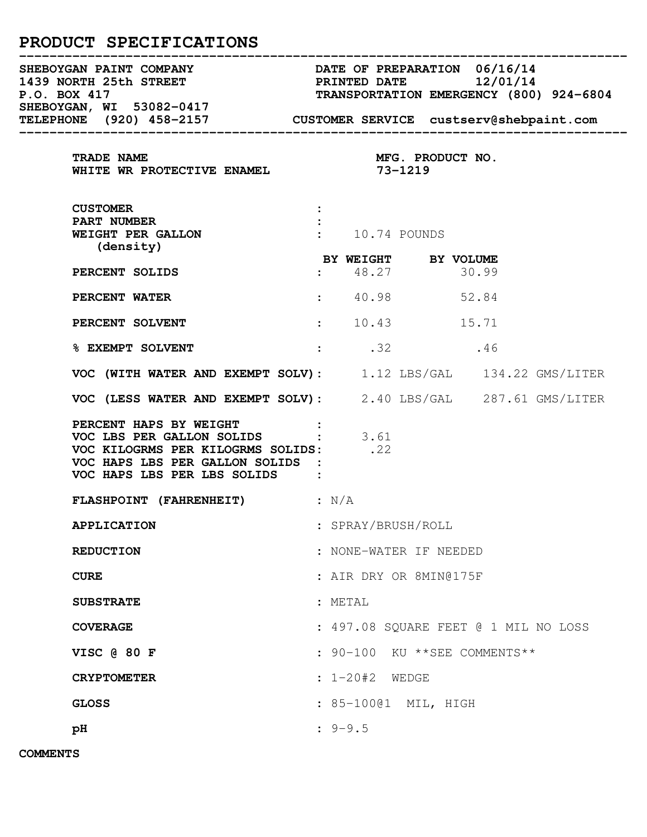# PRODUCT SPECIFICATIONS

| SHEBOYGAN, WI 53082-0417<br>TELEPHONE (920) 458-2157 CUSTOMER SERVICE custserv@shebpaint.com                                                                                       |                             |                                      |                                                            |       |  |  |  |  |  |
|------------------------------------------------------------------------------------------------------------------------------------------------------------------------------------|-----------------------------|--------------------------------------|------------------------------------------------------------|-------|--|--|--|--|--|
| _____________________________<br>TRADE NAME<br>WHITE WR PROTECTIVE ENAMEL                                                                                                          | MFG. PRODUCT NO.<br>73-1219 |                                      |                                                            |       |  |  |  |  |  |
| <b>CUSTOMER</b><br>PART NUMBER<br>WEIGHT PER GALLON<br>(density)                                                                                                                   |                             | $\frac{10.74}{ }$ POUNDS             |                                                            |       |  |  |  |  |  |
| PERCENT SOLIDS                                                                                                                                                                     |                             |                                      | BY WEIGHT BY VOLUME<br>$\frac{1}{48.27}$ $\frac{1}{30.99}$ |       |  |  |  |  |  |
| <b>PERCENT WATER</b>                                                                                                                                                               |                             | 40.98                                |                                                            | 52.84 |  |  |  |  |  |
| PERCENT SOLVENT                                                                                                                                                                    |                             |                                      | $\frac{10.43}{15.71}$                                      |       |  |  |  |  |  |
| <b>&amp; EXEMPT SOLVENT</b>                                                                                                                                                        |                             |                                      | $\cdot$ .32 .46                                            |       |  |  |  |  |  |
| VOC (WITH WATER AND EXEMPT SOLV): 1.12 LBS/GAL 134.22 GMS/LITER                                                                                                                    |                             |                                      |                                                            |       |  |  |  |  |  |
| VOC (LESS WATER AND EXEMPT SOLV): 2.40 LBS/GAL 287.61 GMS/LITER                                                                                                                    |                             |                                      |                                                            |       |  |  |  |  |  |
| <b>PERCENT HAPS BY WEIGHT :<br/>VOC LBS PER GALLON SOLIDS : 3.61</b><br>VOC KILOGRMS PER KILOGRMS SOLIDS: .22<br>VOC HAPS LBS PER GALLON SOLIDS :<br>VOC HAPS LBS PER LBS SOLIDS : |                             |                                      |                                                            |       |  |  |  |  |  |
| FLASHPOINT (FAHRENHEIT) : N/A                                                                                                                                                      |                             |                                      |                                                            |       |  |  |  |  |  |
| <b>APPLICATION</b>                                                                                                                                                                 |                             | : SPRAY/BRUSH/ROLL                   |                                                            |       |  |  |  |  |  |
| <b>REDUCTION</b>                                                                                                                                                                   |                             | : NONE-WATER IF NEEDED               |                                                            |       |  |  |  |  |  |
| <b>CURE</b>                                                                                                                                                                        |                             | : AIR DRY OR 8MIN@175F               |                                                            |       |  |  |  |  |  |
| <b>SUBSTRATE</b>                                                                                                                                                                   |                             | : METAL                              |                                                            |       |  |  |  |  |  |
| <b>COVERAGE</b>                                                                                                                                                                    |                             | : 497.08 SQUARE FEET @ 1 MIL NO LOSS |                                                            |       |  |  |  |  |  |
| VISC @ 80 F                                                                                                                                                                        |                             | : 90-100 KU ** SEE COMMENTS**        |                                                            |       |  |  |  |  |  |
| <b>CRYPTOMETER</b>                                                                                                                                                                 |                             | $: 1-20+2$ WEDGE                     |                                                            |       |  |  |  |  |  |
| <b>GLOSS</b>                                                                                                                                                                       |                             |                                      | : 85-10001 MIL, HIGH                                       |       |  |  |  |  |  |
| pH                                                                                                                                                                                 |                             | $: 9 - 9.5$                          |                                                            |       |  |  |  |  |  |

COMMENTS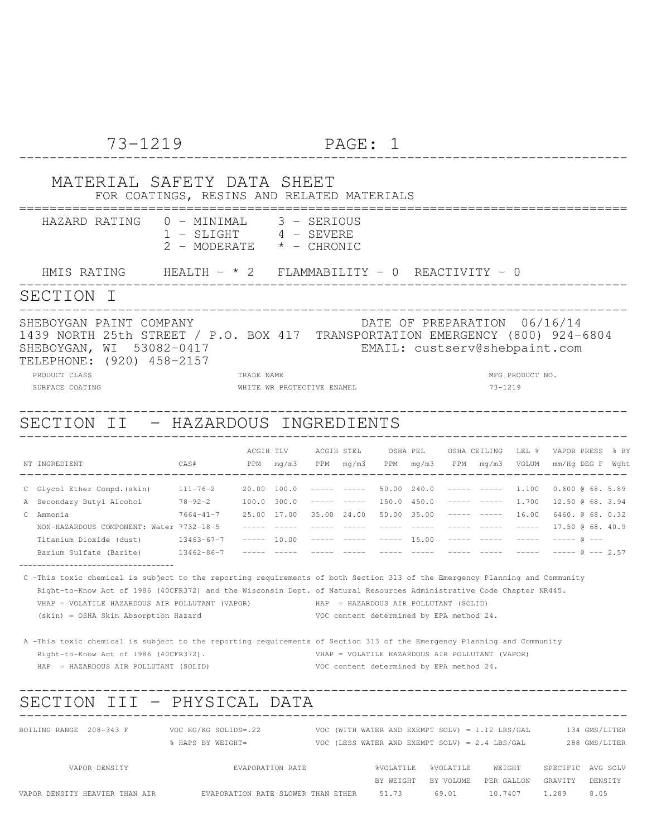# PAGE: 1

--------------------------------------------------------------------------------

## MATERIAL SAFETY DATA SHEET

|                                                                                                                                                                                                                                                                                                                                                | FOR COATINGS, RESINS AND RELATED MATERIALS                             |                                                                                                       |                                                                                                       |  |                                                               |                 |         |                           |                   |                                                         |  |  |
|------------------------------------------------------------------------------------------------------------------------------------------------------------------------------------------------------------------------------------------------------------------------------------------------------------------------------------------------|------------------------------------------------------------------------|-------------------------------------------------------------------------------------------------------|-------------------------------------------------------------------------------------------------------|--|---------------------------------------------------------------|-----------------|---------|---------------------------|-------------------|---------------------------------------------------------|--|--|
| HAZARD RATING                                                                                                                                                                                                                                                                                                                                  | 0 - MINIMAL<br>$1 - SLIGHT 4 - SEVERE$<br>2 - MODERATE                 |                                                                                                       | 3 – SERIOUS<br>$*$ - CHRONIC                                                                          |  |                                                               |                 |         |                           |                   |                                                         |  |  |
| HMIS RATING $\overline{H} = \times 2$ FLAMMABILITY - 0 REACTIVITY - 0                                                                                                                                                                                                                                                                          |                                                                        |                                                                                                       |                                                                                                       |  |                                                               |                 |         |                           |                   |                                                         |  |  |
| SECTION I                                                                                                                                                                                                                                                                                                                                      |                                                                        |                                                                                                       |                                                                                                       |  |                                                               |                 |         |                           |                   |                                                         |  |  |
| SHEBOYGAN PAINT COMPANY<br>1439 NORTH 25th STREET / P.O. BOX 417 TRANSPORTATION EMERGENCY (800) 924-6804<br>SHEBOYGAN, WI 53082-0417<br>TELEPHONE: (920) 458-2157                                                                                                                                                                              |                                                                        |                                                                                                       |                                                                                                       |  | DATE OF PREPARATION 06/16/14<br>EMAIL: custserv@shebpaint.com |                 |         |                           |                   |                                                         |  |  |
| PRODUCT CLASS                                                                                                                                                                                                                                                                                                                                  |                                                                        | TRADE NAME<br>WHITE WR PROTECTIVE ENAMEL                                                              |                                                                                                       |  |                                                               | MFG PRODUCT NO. |         |                           |                   |                                                         |  |  |
| SURFACE COATING                                                                                                                                                                                                                                                                                                                                |                                                                        |                                                                                                       |                                                                                                       |  |                                                               |                 | 73-1219 |                           |                   |                                                         |  |  |
| SECTION II - HAZARDOUS INGREDIENTS                                                                                                                                                                                                                                                                                                             |                                                                        |                                                                                                       |                                                                                                       |  |                                                               |                 |         |                           |                   |                                                         |  |  |
| NT INGREDIENT                                                                                                                                                                                                                                                                                                                                  | CAS#                                                                   | ACGIH TLV<br>PPM mg/m3 PPM mg/m3 PPM mg/m3 PPM mg/m3 VOLUM mm/HgDEGF Wght                             | ACGIH STEL                                                                                            |  | OSHA PEL OSHA CEILING LEL %                                   |                 |         |                           |                   | VAPOR PRESS % BY                                        |  |  |
| C Glycol Ether Compd. (skin)<br>A Secondary Butyl Alcohol<br>C Ammonia<br>NON-HAZARDOUS COMPONENT: Water 7732-18-5<br>Titanium Dioxide (dust) 13463-67-7 ----- 10.00 ----- ----- ----- 15.00 ----- ----- -----<br>Barium Sulfate (Barite)                                                                                                      | $111 - 76 - 2$<br>$78 - 92 - 2$<br>7664-41-7 25.00 17.00<br>13462-86-7 | 20.00 100.0<br>$100.0$ 300.0 ----- ---- 150.0 450.0 ----- ----- 1.700 12.50 @ 68. 3.94<br>----- ----- |                                                                                                       |  | a popular popular indicate popular                            |                 |         | $\qquad \qquad - - - - -$ |                   | 17.50 @ 68. 40.9<br>$--- 6$ $---$<br>$--- 0$ $--- 2.57$ |  |  |
| C -This toxic chemical is subject to the reporting requirements of both Section 313 of the Emergency Planning and Community<br>Right-to-Know Act of 1986 (40CFR372) and the Wisconsin Dept. of Natural Resources Administrative Code Chapter NR445.<br>VHAP = VOLATILE HAZARDOUS AIR POLLUTANT (VAPOR)<br>(skin) = OSHA Skin Absorption Hazard |                                                                        |                                                                                                       | HAP = HAZARDOUS AIR POLLUTANT (SOLID)<br>VOC content determined by EPA method 24.                     |  |                                                               |                 |         |                           |                   |                                                         |  |  |
| A -This toxic chemical is subject to the reporting requirements of Section 313 of the Emergency Planning and Community<br>Right-to-Know Act of 1986 (40CFR372).<br>HAP = HAZARDOUS AIR POLLUTANT (SOLID)                                                                                                                                       |                                                                        |                                                                                                       | VHAP = VOLATILE HAZARDOUS AIR POLLUTANT (VAPOR)<br>VOC content determined by EPA method 24.           |  |                                                               |                 |         |                           |                   |                                                         |  |  |
| SECTION                                                                                                                                                                                                                                                                                                                                        | III - PHYSICAL DATA                                                    |                                                                                                       |                                                                                                       |  |                                                               |                 |         |                           |                   |                                                         |  |  |
| BOILING RANGE 208-343 F                                                                                                                                                                                                                                                                                                                        | VOC KG/KG SOLIDS=.22<br>% HAPS BY WEIGHT=                              |                                                                                                       | VOC (WITH WATER AND EXEMPT SOLV) = $1.12$ LBS/GAL<br>VOC (LESS WATER AND EXEMPT SOLV) = $2.4$ LBS/GAL |  |                                                               |                 |         |                           |                   | 134 GMS/LITER<br>288 GMS/LITER                          |  |  |
| VAPOR DENSITY                                                                                                                                                                                                                                                                                                                                  |                                                                        | EVAPORATION RATE                                                                                      |                                                                                                       |  | %VOLATILE %VOLATILE                                           |                 | WEIGHT  |                           | SPECIFIC AVG SOLV |                                                         |  |  |

VAPOR DENSITY HEAVIER THAN AIR EVAPORATION RATE SLOWER THAN ETHER 51.73 69.01 10.7407 1.289 8.05

BY WEIGHT BY VOLUME PER GALLON GRAVITY DENSITY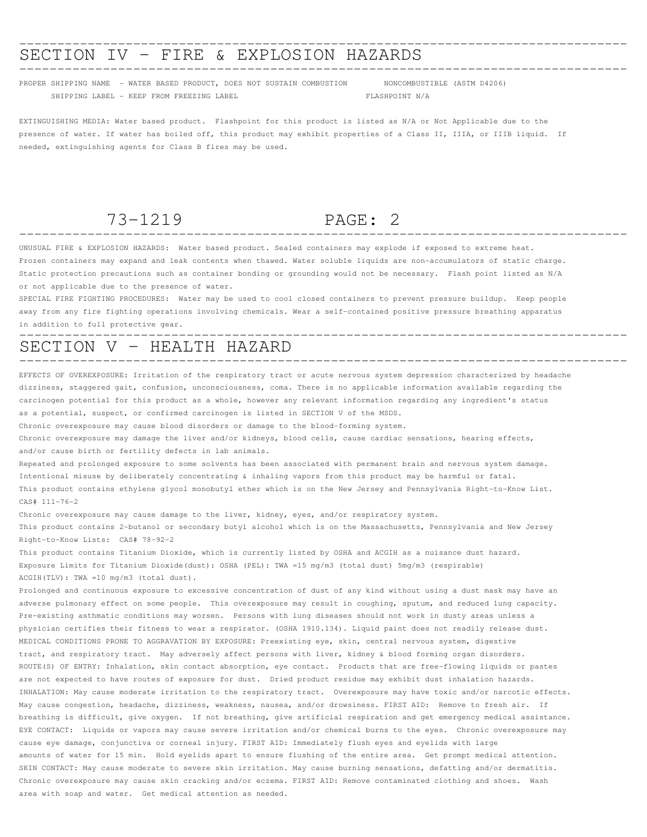# -------------------------------------------------------------------------------- SECTION IV - FIRE & EXPLOSION HAZARDS --------------------------------------------------------------------------------

PROPER SHIPPING NAME - WATER BASED PRODUCT, DOES NOT SUSTAIN COMBUSTION NONCOMBUSTIBLE (ASTM D4206) SHIPPING LABEL - KEEP FROM FREEZING LABEL FLASHPOINT N/A

EXTINGUISHING MEDIA: Water based product. Flashpoint for this product is listed as N/A or Not Applicable due to the presence of water. If water has boiled off, this product may exhibit properties of a Class II, IIIA, or IIIB liquid. If needed, extinguishing agents for Class B fires may be used.

# 73-1219 PAGE: 2

--------------------------------------------------------------------------------

UNUSUAL FIRE & EXPLOSION HAZARDS: Water based product. Sealed containers may explode if exposed to extreme heat. Frozen containers may expand and leak contents when thawed. Water soluble liquids are non-accumulators of static charge. Static protection precautions such as container bonding or grounding would not be necessary. Flash point listed as N/A or not applicable due to the presence of water.

SPECIAL FIRE FIGHTING PROCEDURES: Water may be used to cool closed containers to prevent pressure buildup. Keep people away from any fire fighting operations involving chemicals. Wear a self-contained positive pressure breathing apparatus in addition to full protective gear.

### -------------------------------------------------------------------------------- SECTION V - HEALTH HAZARD --------------------------------------------------------------------------------

EFFECTS OF OVEREXPOSURE: Irritation of the respiratory tract or acute nervous system depression characterized by headache dizziness, staggered gait, confusion, unconsciousness, coma. There is no applicable information available regarding the carcinogen potential for this product as a whole, however any relevant information regarding any ingredient's status as a potential, suspect, or confirmed carcinogen is listed in SECTION V of the MSDS.

Chronic overexposure may cause blood disorders or damage to the blood-forming system.

Chronic overexposure may damage the liver and/or kidneys, blood cells, cause cardiac sensations, hearing effects, and/or cause birth or fertility defects in lab animals.

Repeated and prolonged exposure to some solvents has been associated with permanent brain and nervous system damage. Intentional misuse by deliberately concentrating & inhaling vapors from this product may be harmful or fatal. This product contains ethylene glycol monobutyl ether which is on the New Jersey and Pennsylvania Right-to-Know List. CAS# 111-76-2

Chronic overexposure may cause damage to the liver, kidney, eyes, and/or respiratory system. This product contains 2-butanol or secondary butyl alcohol which is on the Massachusetts, Pennsylvania and New Jersey Right-to-Know Lists: CAS# 78-92-2

This product contains Titanium Dioxide, which is currently listed by OSHA and ACGIH as a nuisance dust hazard. Exposure Limits for Titanium Dioxide(dust): OSHA (PEL): TWA =15 mg/m3 (total dust) 5mg/m3 (respirable) ACGIH(TLV): TWA =10 mg/m3 (total dust).

Prolonged and continuous exposure to excessive concentration of dust of any kind without using a dust mask may have an adverse pulmonary effect on some people. This overexposure may result in coughing, sputum, and reduced lung capacity. Pre-existing asthmatic conditions may worsen. Persons with lung diseases should not work in dusty areas unless a physician certifies their fitness to wear a respirator. (OSHA 1910.134). Liquid paint does not readily release dust. MEDICAL CONDITIONS PRONE TO AGGRAVATION BY EXPOSURE: Preexisting eye, skin, central nervous system, digestive tract, and respiratory tract. May adversely affect persons with liver, kidney & blood forming organ disorders. ROUTE(S) OF ENTRY: Inhalation, skin contact absorption, eye contact. Products that are free-flowing liquids or pastes are not expected to have routes of exposure for dust. Dried product residue may exhibit dust inhalation hazards. INHALATION: May cause moderate irritation to the respiratory tract. Overexposure may have toxic and/or narcotic effects. May cause congestion, headache, dizziness, weakness, nausea, and/or drowsiness. FIRST AID: Remove to fresh air. If breathing is difficult, give oxygen. If not breathing, give artificial respiration and get emergency medical assistance. EYE CONTACT: Liquids or vapors may cause severe irritation and/or chemical burns to the eyes. Chronic overexposure may cause eye damage, conjunctiva or corneal injury. FIRST AID: Immediately flush eyes and eyelids with large amounts of water for 15 min. Hold eyelids apart to ensure flushing of the entire area. Get prompt medical attention. SKIN CONTACT: May cause moderate to severe skin irritation. May cause burning sensations, defatting and/or dermatitis. Chronic overexposure may cause skin cracking and/or eczema. FIRST AID: Remove contaminated clothing and shoes. Wash area with soap and water. Get medical attention as needed.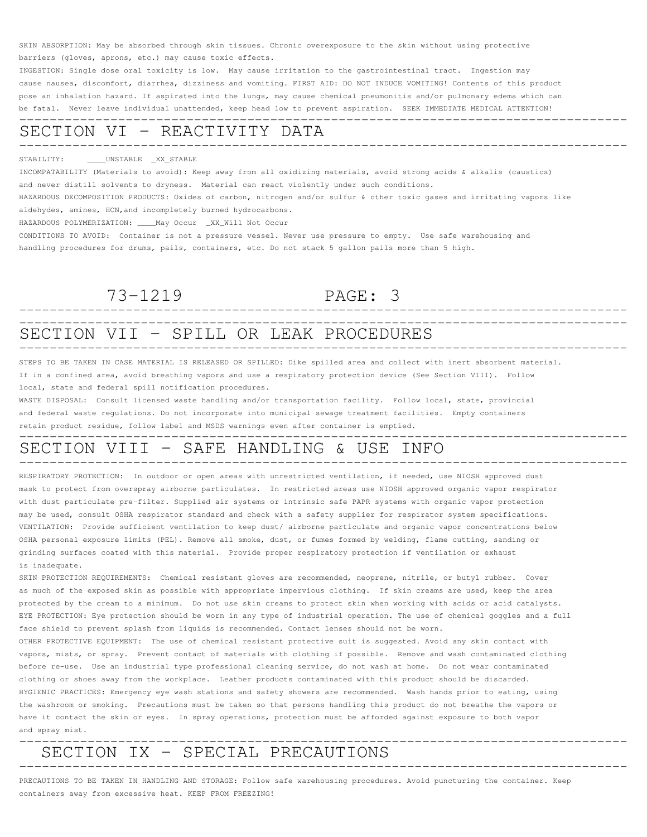SKIN ABSORPTION: May be absorbed through skin tissues. Chronic overexposure to the skin without using protective barriers (gloves, aprons, etc.) may cause toxic effects.

INGESTION: Single dose oral toxicity is low. May cause irritation to the gastrointestinal tract. Ingestion may cause nausea, discomfort, diarrhea, dizziness and vomiting. FIRST AID: DO NOT INDUCE VOMITING! Contents of this product pose an inhalation hazard. If aspirated into the lungs, may cause chemical pneumonitis and/or pulmonary edema which can be fatal. Never leave individual unattended, keep head low to prevent aspiration. SEEK IMMEDIATE MEDICAL ATTENTION! --------------------------------------------------------------------------------

#### SECTION VI - REACTIVITY DATA --------------------------------------------------------------------------------

#### STABILITY: \_\_\_\_UNSTABLE \_XX\_STABLE

INCOMPATABILITY (Materials to avoid): Keep away from all oxidizing materials, avoid strong acids & alkalis (caustics) and never distill solvents to dryness. Material can react violently under such conditions.

HAZARDOUS DECOMPOSITION PRODUCTS: Oxides of carbon, nitrogen and/or sulfur & other toxic gases and irritating vapors like aldehydes, amines, HCN,and incompletely burned hydrocarbons.

HAZARDOUS POLYMERIZATION: \_\_\_\_May Occur \_XX\_Will Not Occur

CONDITIONS TO AVOID: Container is not a pressure vessel. Never use pressure to empty. Use safe warehousing and handling procedures for drums, pails, containers, etc. Do not stack 5 gallon pails more than 5 high.

## 73-1219 PAGE: 3 --------------------------------------------------------------------------------

# -------------------------------------------------------------------------------- SECTION VII - SPILL OR LEAK PROCEDURES --------------------------------------------------------------------------------

STEPS TO BE TAKEN IN CASE MATERIAL IS RELEASED OR SPILLED: Dike spilled area and collect with inert absorbent material. If in a confined area, avoid breathing vapors and use a respiratory protection device (See Section VIII). Follow local, state and federal spill notification procedures.

WASTE DISPOSAL: Consult licensed waste handling and/or transportation facility. Follow local, state, provincial and federal waste regulations. Do not incorporate into municipal sewage treatment facilities. Empty containers retain product residue, follow label and MSDS warnings even after container is emptied.

# SECTION VIII - SAFE HANDLING & USE INFO

--------------------------------------------------------------------------------

RESPIRATORY PROTECTION: In outdoor or open areas with unrestricted ventilation, if needed, use NIOSH approved dust mask to protect from overspray airborne particulates. In restricted areas use NIOSH approved organic vapor respirator with dust particulate pre-filter. Supplied air systems or intrinsic safe PAPR systems with organic vapor protection may be used, consult OSHA respirator standard and check with a safety supplier for respirator system specifications. VENTILATION: Provide sufficient ventilation to keep dust/ airborne particulate and organic vapor concentrations below OSHA personal exposure limits (PEL). Remove all smoke, dust, or fumes formed by welding, flame cutting, sanding or grinding surfaces coated with this material. Provide proper respiratory protection if ventilation or exhaust is inadequate.

--------------------------------------------------------------------------------

SKIN PROTECTION REQUIREMENTS: Chemical resistant gloves are recommended, neoprene, nitrile, or butyl rubber. Cover as much of the exposed skin as possible with appropriate impervious clothing. If skin creams are used, keep the area protected by the cream to a minimum. Do not use skin creams to protect skin when working with acids or acid catalysts. EYE PROTECTION: Eye protection should be worn in any type of industrial operation. The use of chemical goggles and a full face shield to prevent splash from liquids is recommended. Contact lenses should not be worn.

OTHER PROTECTIVE EQUIPMENT: The use of chemical resistant protective suit is suggested. Avoid any skin contact with vapors, mists, or spray. Prevent contact of materials with clothing if possible. Remove and wash contaminated clothing before re-use. Use an industrial type professional cleaning service, do not wash at home. Do not wear contaminated clothing or shoes away from the workplace. Leather products contaminated with this product should be discarded. HYGIENIC PRACTICES: Emergency eye wash stations and safety showers are recommended. Wash hands prior to eating, using the washroom or smoking. Precautions must be taken so that persons handling this product do not breathe the vapors or have it contact the skin or eyes. In spray operations, protection must be afforded against exposure to both vapor and spray mist.

# SECTION IX - SPECIAL PRECAUTIONS

PRECAUTIONS TO BE TAKEN IN HANDLING AND STORAGE: Follow safe warehousing procedures. Avoid puncturing the container. Keep containers away from excessive heat. KEEP FROM FREEZING!

--------------------------------------------------------------------------------

--------------------------------------------------------------------------------